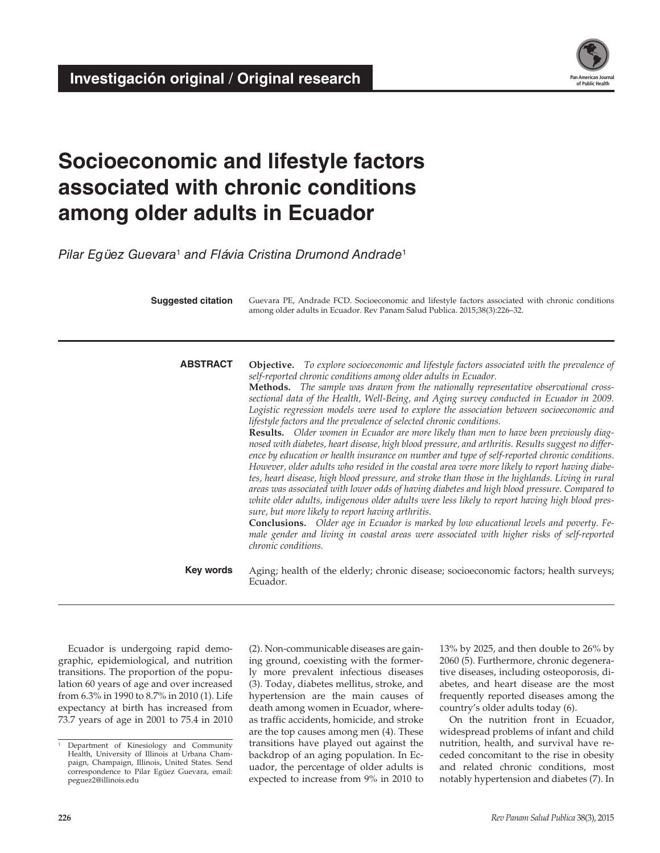**Investigación original / Original research** 



# **Socioeconomic and lifestyle factors associated with chronic conditions among older adults in Ecuador**

*Pilar Egüez Guevara*<sup>1</sup>  *and Flávia Cristina Drumond Andrade*<sup>1</sup>

**Suggested citation** Guevara PE, Andrade FCD. Socioeconomic and lifestyle factors associated with chronic conditions among older adults in Ecuador. Rev Panam Salud Publica. 2015;38(3):226–32.

**ABSTRACT Objective.** *To explore socioeconomic and lifestyle factors associated with the prevalence of self-reported chronic conditions among older adults in Ecuador.*

> **Methods.** *The sample was drawn from the nationally representative observational crosssectional data of the Health, Well-Being, and Aging survey conducted in Ecuador in 2009. Logistic regression models were used to explore the association between socioeconomic and lifestyle factors and the prevalence of selected chronic conditions.*

> **Results.** *Older women in Ecuador are more likely than men to have been previously diagnosed with diabetes, heart disease, high blood pressure, and arthritis. Results suggest no difference by education or health insurance on number and type of self-reported chronic conditions. However, older adults who resided in the coastal area were more likely to report having diabetes, heart disease, high blood pressure, and stroke than those in the highlands. Living in rural areas was associated with lower odds of having diabetes and high blood pressure. Compared to white older adults, indigenous older adults were less likely to report having high blood pressure, but more likely to report having arthritis.*

> **Conclusions.** *Older age in Ecuador is marked by low educational levels and poverty. Female gender and living in coastal areas were associated with higher risks of self-reported chronic conditions.*

**Key words** Aging; health of the elderly; chronic disease; socioeconomic factors; health surveys; Ecuador.

Ecuador is undergoing rapid demographic, epidemiological, and nutrition transitions. The proportion of the population 60 years of age and over increased from 6.3% in 1990 to 8.7% in 2010 (1). Life expectancy at birth has increased from 73.7 years of age in 2001 to 75.4 in 2010 (2). Non-communicable diseases are gaining ground, coexisting with the formerly more prevalent infectious diseases (3). Today, diabetes mellitus, stroke, and hypertension are the main causes of death among women in Ecuador, whereas traffic accidents, homicide, and stroke are the top causes among men (4). These transitions have played out against the backdrop of an aging population. In Ecuador, the percentage of older adults is expected to increase from 9% in 2010 to 13% by 2025, and then double to 26% by 2060 (5). Furthermore, chronic degenerative diseases, including osteoporosis, diabetes, and heart disease are the most frequently reported diseases among the country's older adults today (6).

On the nutrition front in Ecuador, widespread problems of infant and child nutrition, health, and survival have receded concomitant to the rise in obesity and related chronic conditions, most notably hypertension and diabetes (7). In

<sup>&</sup>lt;sup>1</sup> Department of Kinesiology and Community Health, University of Illinois at Urbana Champaign, Champaign, Illinois, United States. Send correspondence to Pilar Egüez Guevara, email: peguez2@illinois.edu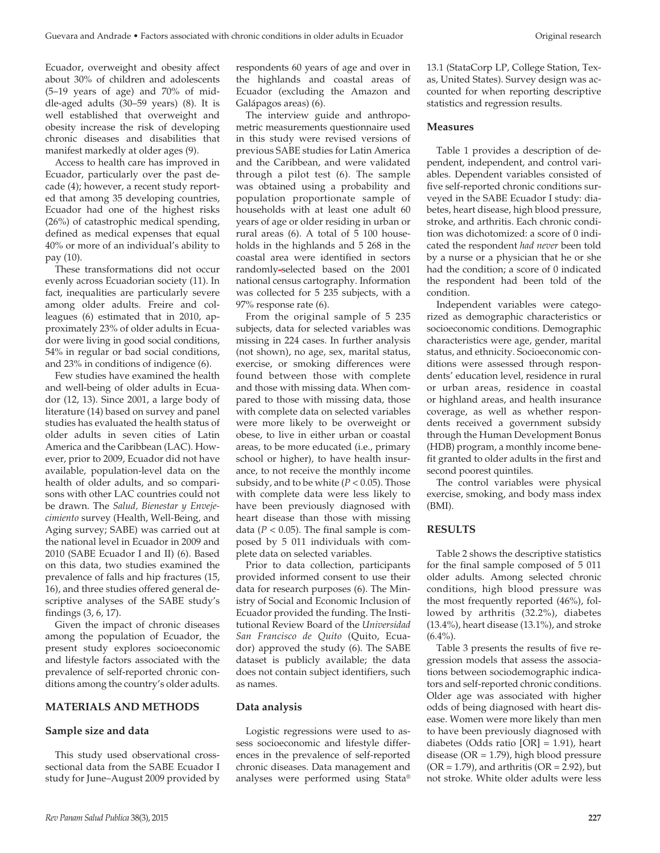Ecuador, overweight and obesity affect about 30% of children and adolescents (5–19 years of age) and 70% of middle-aged adults (30–59 years) (8). It is well established that overweight and obesity increase the risk of developing chronic diseases and disabilities that manifest markedly at older ages (9).

Access to health care has improved in Ecuador, particularly over the past decade (4); however, a recent study reported that among 35 developing countries, Ecuador had one of the highest risks (26%) of catastrophic medical spending, defined as medical expenses that equal 40% or more of an individual's ability to pay (10).

These transformations did not occur evenly across Ecuadorian society (11). In fact, inequalities are particularly severe among older adults. Freire and colleagues (6) estimated that in 2010, approximately 23% of older adults in Ecuador were living in good social conditions, 54% in regular or bad social conditions, and 23% in conditions of indigence (6).

Few studies have examined the health and well-being of older adults in Ecuador (12, 13). Since 2001, a large body of literature (14) based on survey and panel studies has evaluated the health status of older adults in seven cities of Latin America and the Caribbean (LAC). However, prior to 2009, Ecuador did not have available, population-level data on the health of older adults, and so comparisons with other LAC countries could not be drawn. The *Salud, Bienestar y Envejecimiento* survey (Health, Well-Being, and Aging survey; SABE) was carried out at the national level in Ecuador in 2009 and 2010 (SABE Ecuador I and II) (6). Based on this data, two studies examined the prevalence of falls and hip fractures (15, 16), and three studies offered general descriptive analyses of the SABE study's findings (3, 6, 17).

Given the impact of chronic diseases among the population of Ecuador, the present study explores socioeconomic and lifestyle factors associated with the prevalence of self-reported chronic conditions among the country's older adults.

#### **MATERIALS AND METHODS**

## **Sample size and data**

This study used observational crosssectional data from the SABE Ecuador I study for June–August 2009 provided by

respondents 60 years of age and over in the highlands and coastal areas of Ecuador (excluding the Amazon and Galápagos areas) (6).

The interview guide and anthropometric measurements questionnaire used in this study were revised versions of previous SABE studies for Latin America and the Caribbean, and were validated through a pilot test (6). The sample was obtained using a probability and population proportionate sample of households with at least one adult 60 years of age or older residing in urban or rural areas (6). A total of 5 100 households in the highlands and 5 268 in the coastal area were identified in sectors randomly-selected based on the 2001 national census cartography. Information was collected for 5 235 subjects, with a 97% response rate (6).

From the original sample of 5 235 subjects, data for selected variables was missing in 224 cases. In further analysis (not shown), no age, sex, marital status, exercise, or smoking differences were found between those with complete and those with missing data. When compared to those with missing data, those with complete data on selected variables were more likely to be overweight or obese, to live in either urban or coastal areas, to be more educated (i.e., primary school or higher), to have health insurance, to not receive the monthly income subsidy, and to be white  $(P < 0.05)$ . Those with complete data were less likely to have been previously diagnosed with heart disease than those with missing data ( $P < 0.05$ ). The final sample is composed by 5 011 individuals with complete data on selected variables.

Prior to data collection, participants provided informed consent to use their data for research purposes (6). The Ministry of Social and Economic Inclusion of Ecuador provided the funding. The Institutional Review Board of the *Universidad San Francisco de Quito* (Quito, Ecuador) approved the study (6). The SABE dataset is publicly available; the data does not contain subject identifiers, such as names.

#### **Data analysis**

Logistic regressions were used to assess socioeconomic and lifestyle differences in the prevalence of self-reported chronic diseases. Data management and analyses were performed using Stata®

13.1 (StataCorp LP, College Station, Texas, United States). Survey design was accounted for when reporting descriptive statistics and regression results.

#### **Measures**

Table 1 provides a description of dependent, independent, and control variables. Dependent variables consisted of five self-reported chronic conditions surveyed in the SABE Ecuador I study: diabetes, heart disease, high blood pressure, stroke, and arthritis. Each chronic condition was dichotomized: a score of 0 indicated the respondent *had never* been told by a nurse or a physician that he or she had the condition; a score of 0 indicated the respondent had been told of the condition.

Independent variables were categorized as demographic characteristics or socioeconomic conditions. Demographic characteristics were age, gender, marital status, and ethnicity. Socioeconomic conditions were assessed through respondents' education level, residence in rural or urban areas, residence in coastal or highland areas, and health insurance coverage, as well as whether respondents received a government subsidy through the Human Development Bonus (HDB) program, a monthly income benefit granted to older adults in the first and second poorest quintiles.

The control variables were physical exercise, smoking, and body mass index (BMI).

# **RESULTS**

Table 2 shows the descriptive statistics for the final sample composed of 5 011 older adults. Among selected chronic conditions, high blood pressure was the most frequently reported (46%), followed by arthritis (32.2%), diabetes (13.4%), heart disease (13.1%), and stroke  $(6.4\%)$ .

Table 3 presents the results of five regression models that assess the associations between sociodemographic indicators and self-reported chronic conditions. Older age was associated with higher odds of being diagnosed with heart disease. Women were more likely than men to have been previously diagnosed with diabetes (Odds ratio [OR] = 1.91), heart disease ( $OR = 1.79$ ), high blood pressure  $(OR = 1.79)$ , and arthritis  $(OR = 2.92)$ , but not stroke. White older adults were less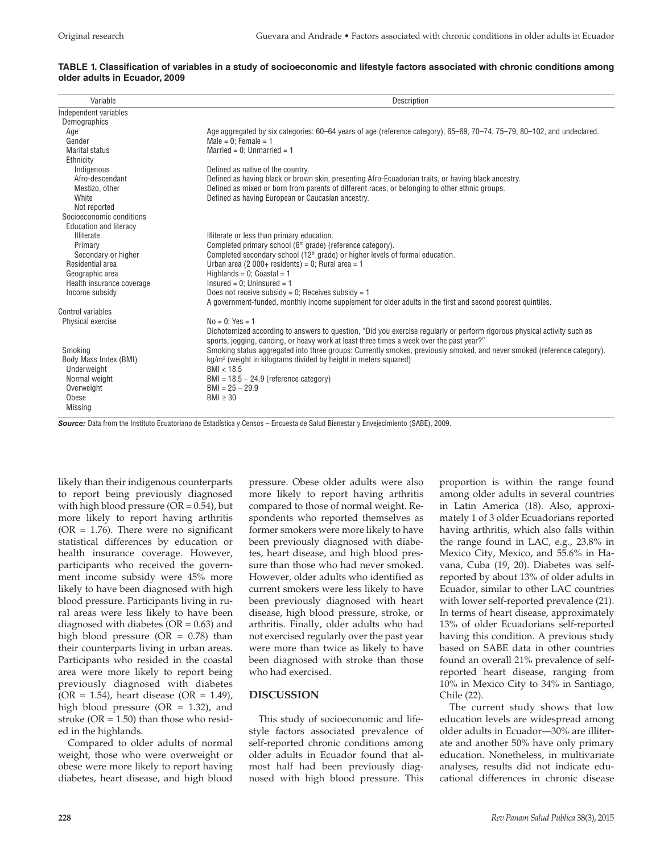| Variable                      | Description                                                                                                              |  |  |  |  |  |  |  |
|-------------------------------|--------------------------------------------------------------------------------------------------------------------------|--|--|--|--|--|--|--|
| Independent variables         |                                                                                                                          |  |  |  |  |  |  |  |
| Demographics                  |                                                                                                                          |  |  |  |  |  |  |  |
| Age                           | Age aggregated by six categories: 60–64 years of age (reference category), 65–69, 70–74, 75–79, 80–102, and undeclared.  |  |  |  |  |  |  |  |
| Gender                        | Male = $0$ ; Female = 1                                                                                                  |  |  |  |  |  |  |  |
| <b>Marital status</b>         | Married = $0:$ Unmarried = 1                                                                                             |  |  |  |  |  |  |  |
| Ethnicity                     |                                                                                                                          |  |  |  |  |  |  |  |
| Indigenous                    | Defined as native of the country.                                                                                        |  |  |  |  |  |  |  |
| Afro-descendant               | Defined as having black or brown skin, presenting Afro-Ecuadorian traits, or having black ancestry.                      |  |  |  |  |  |  |  |
| Mestizo, other                | Defined as mixed or born from parents of different races, or belonging to other ethnic groups.                           |  |  |  |  |  |  |  |
| White                         | Defined as having European or Caucasian ancestry.                                                                        |  |  |  |  |  |  |  |
| Not reported                  |                                                                                                                          |  |  |  |  |  |  |  |
| Socioeconomic conditions      |                                                                                                                          |  |  |  |  |  |  |  |
| <b>Education and literacy</b> |                                                                                                                          |  |  |  |  |  |  |  |
| <b>Illiterate</b>             | Illiterate or less than primary education.                                                                               |  |  |  |  |  |  |  |
| Primary                       | Completed primary school (6 <sup>th</sup> grade) (reference category).                                                   |  |  |  |  |  |  |  |
| Secondary or higher           | Completed secondary school (12 <sup>th</sup> grade) or higher levels of formal education.                                |  |  |  |  |  |  |  |
| Residential area              | Urban area (2 000+ residents) = 0; Rural area = 1                                                                        |  |  |  |  |  |  |  |
| Geographic area               | Highlands = $0$ ; Coastal = 1                                                                                            |  |  |  |  |  |  |  |
| Health insurance coverage     | $Insured = 0$ ; Uninsured = 1                                                                                            |  |  |  |  |  |  |  |
| Income subsidy                | Does not receive subsidy = 0; Receives subsidy = $1$                                                                     |  |  |  |  |  |  |  |
|                               | A government-funded, monthly income supplement for older adults in the first and second poorest quintiles.               |  |  |  |  |  |  |  |
| Control variables             |                                                                                                                          |  |  |  |  |  |  |  |
| Physical exercise             | $No = 0$ : Yes = 1                                                                                                       |  |  |  |  |  |  |  |
|                               | Dichotomized according to answers to question, "Did you exercise regularly or perform rigorous physical activity such as |  |  |  |  |  |  |  |
|                               | sports, jogging, dancing, or heavy work at least three times a week over the past year?"                                 |  |  |  |  |  |  |  |
| Smoking                       | Smoking status aggregated into three groups: Currently smokes, previously smoked, and never smoked (reference category). |  |  |  |  |  |  |  |
| Body Mass Index (BMI)         | kg/m <sup>2</sup> (weight in kilograms divided by height in meters squared)                                              |  |  |  |  |  |  |  |
| Underweight                   | BMI < 18.5                                                                                                               |  |  |  |  |  |  |  |
| Normal weight                 | $BMI = 18.5 - 24.9$ (reference category)                                                                                 |  |  |  |  |  |  |  |
| Overweight                    | $BMI = 25 - 29.9$                                                                                                        |  |  |  |  |  |  |  |
| Obese                         | $BMI \geq 30$                                                                                                            |  |  |  |  |  |  |  |
| <b>Missing</b>                |                                                                                                                          |  |  |  |  |  |  |  |

#### **TABLE 1. Classification of variables in a study of socioeconomic and lifestyle factors associated with chronic conditions among older adults in Ecuador, 2009**

*Source:* Data from the Instituto Ecuatoriano de Estadística y Censos – Encuesta de Salud Bienestar y Envejecimiento (SABE), 2009.

likely than their indigenous counterparts to report being previously diagnosed with high blood pressure  $(OR = 0.54)$ , but more likely to report having arthritis ( $OR = 1.76$ ). There were no significant statistical differences by education or health insurance coverage. However, participants who received the government income subsidy were 45% more likely to have been diagnosed with high blood pressure. Participants living in rural areas were less likely to have been diagnosed with diabetes ( $OR = 0.63$ ) and high blood pressure  $(OR = 0.78)$  than their counterparts living in urban areas. Participants who resided in the coastal area were more likely to report being previously diagnosed with diabetes  $(OR = 1.54)$ , heart disease  $(OR = 1.49)$ , high blood pressure ( $OR = 1.32$ ), and stroke  $(OR = 1.50)$  than those who resided in the highlands.

Compared to older adults of normal weight, those who were overweight or obese were more likely to report having diabetes, heart disease, and high blood pressure. Obese older adults were also more likely to report having arthritis compared to those of normal weight. Respondents who reported themselves as former smokers were more likely to have been previously diagnosed with diabetes, heart disease, and high blood pressure than those who had never smoked. However, older adults who identified as current smokers were less likely to have been previously diagnosed with heart disease, high blood pressure, stroke, or arthritis. Finally, older adults who had not exercised regularly over the past year were more than twice as likely to have been diagnosed with stroke than those who had exercised.

## **DISCUSSION**

This study of socioeconomic and lifestyle factors associated prevalence of self-reported chronic conditions among older adults in Ecuador found that almost half had been previously diagnosed with high blood pressure. This proportion is within the range found among older adults in several countries in Latin America (18). Also, approximately 1 of 3 older Ecuadorians reported having arthritis, which also falls within the range found in LAC, e.g., 23.8% in Mexico City, Mexico, and 55.6% in Havana, Cuba (19, 20). Diabetes was selfreported by about 13% of older adults in Ecuador, similar to other LAC countries with lower self-reported prevalence (21). In terms of heart disease, approximately 13% of older Ecuadorians self-reported having this condition. A previous study based on SABE data in other countries found an overall 21% prevalence of selfreported heart disease, ranging from 10% in Mexico City to 34% in Santiago, Chile (22).

The current study shows that low education levels are widespread among older adults in Ecuador—30% are illiterate and another 50% have only primary education. Nonetheless, in multivariate analyses, results did not indicate educational differences in chronic disease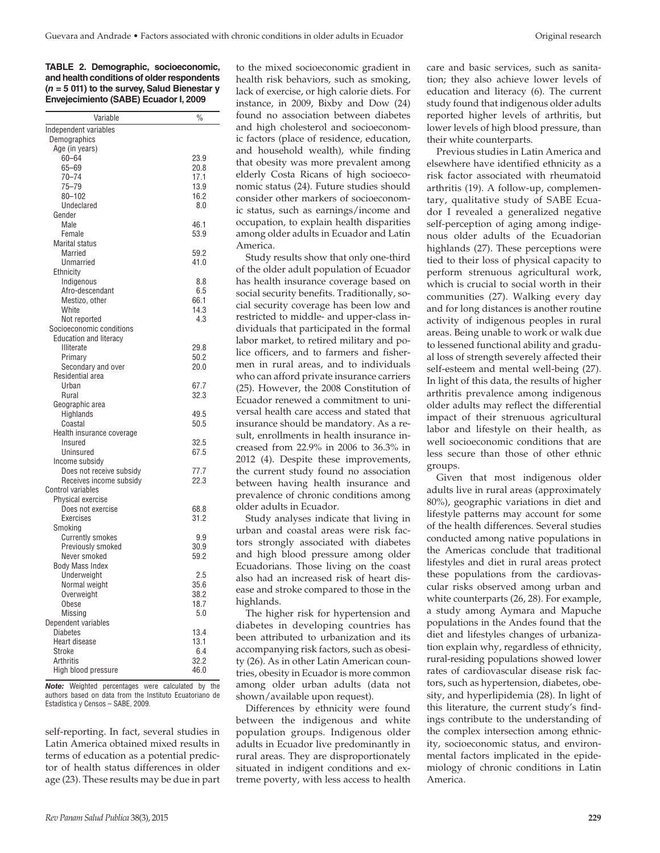**TABLE 2. Demographic, socioeconomic, and health conditions of older respondents (***n* **= 5 011) to the survey, Salud Bienestar y Envejecimiento (SABE) Ecuador I, 2009** 

| Independent variables<br>Demographics<br>Age (in years)<br>$60 - 64$<br>23.9<br>$65 - 69$<br>20.8<br>$70 - 74$<br>17.1<br>$75 - 79$<br>13.9<br>$80 - 102$<br>16.2<br>Undeclared<br>8.0<br>Gender<br>Male<br>46.1<br>Female<br>53.9<br><b>Marital status</b><br><b>Married</b><br>59.2<br>41.0<br>Unmarried<br>Ethnicity<br>Indigenous<br>8.8<br>Afro-descendant<br>6.5<br>Mestizo, other<br>66.1<br>14.3<br>White<br>Not reported<br>4.3<br>Socioeconomic conditions<br><b>Education and literacy</b><br><b>Illiterate</b><br>29.8<br>Primary<br>50.2<br>Secondary and over<br>20.0<br>Residential area<br>67.7<br>Urban<br>32.3<br>Rural<br>Geographic area<br>Highlands<br>49.5<br>50.5<br>Coastal<br>Health insurance coverage<br>32.5<br>Insured<br>67.5<br>Uninsured<br>Income subsidy<br>77.7<br>Does not receive subsidy<br>22.3<br>Receives income subsidy<br><b>Control variables</b><br>Physical exercise<br>68.8<br>Does not exercise<br><b>Exercises</b><br>31.2<br>Smoking<br><b>Currently smokes</b><br>9.9<br>30.9<br>Previously smoked<br>Never smoked<br>59.2<br><b>Body Mass Index</b><br>Underweight<br>2.5<br>35.6<br>Normal weight<br>38.2<br>Overweight<br>18.7<br>Obese<br>Missing<br>5.0<br>Dependent variables<br>13.4<br><b>Diabetes</b><br>13.1<br>Heart disease | Variable | $\frac{0}{0}$ |
|---------------------------------------------------------------------------------------------------------------------------------------------------------------------------------------------------------------------------------------------------------------------------------------------------------------------------------------------------------------------------------------------------------------------------------------------------------------------------------------------------------------------------------------------------------------------------------------------------------------------------------------------------------------------------------------------------------------------------------------------------------------------------------------------------------------------------------------------------------------------------------------------------------------------------------------------------------------------------------------------------------------------------------------------------------------------------------------------------------------------------------------------------------------------------------------------------------------------------------------------------------------------------------------------|----------|---------------|
|                                                                                                                                                                                                                                                                                                                                                                                                                                                                                                                                                                                                                                                                                                                                                                                                                                                                                                                                                                                                                                                                                                                                                                                                                                                                                             |          |               |
|                                                                                                                                                                                                                                                                                                                                                                                                                                                                                                                                                                                                                                                                                                                                                                                                                                                                                                                                                                                                                                                                                                                                                                                                                                                                                             |          |               |
|                                                                                                                                                                                                                                                                                                                                                                                                                                                                                                                                                                                                                                                                                                                                                                                                                                                                                                                                                                                                                                                                                                                                                                                                                                                                                             |          |               |
|                                                                                                                                                                                                                                                                                                                                                                                                                                                                                                                                                                                                                                                                                                                                                                                                                                                                                                                                                                                                                                                                                                                                                                                                                                                                                             |          |               |
|                                                                                                                                                                                                                                                                                                                                                                                                                                                                                                                                                                                                                                                                                                                                                                                                                                                                                                                                                                                                                                                                                                                                                                                                                                                                                             |          |               |
|                                                                                                                                                                                                                                                                                                                                                                                                                                                                                                                                                                                                                                                                                                                                                                                                                                                                                                                                                                                                                                                                                                                                                                                                                                                                                             |          |               |
|                                                                                                                                                                                                                                                                                                                                                                                                                                                                                                                                                                                                                                                                                                                                                                                                                                                                                                                                                                                                                                                                                                                                                                                                                                                                                             |          |               |
|                                                                                                                                                                                                                                                                                                                                                                                                                                                                                                                                                                                                                                                                                                                                                                                                                                                                                                                                                                                                                                                                                                                                                                                                                                                                                             |          |               |
|                                                                                                                                                                                                                                                                                                                                                                                                                                                                                                                                                                                                                                                                                                                                                                                                                                                                                                                                                                                                                                                                                                                                                                                                                                                                                             |          |               |
|                                                                                                                                                                                                                                                                                                                                                                                                                                                                                                                                                                                                                                                                                                                                                                                                                                                                                                                                                                                                                                                                                                                                                                                                                                                                                             |          |               |
|                                                                                                                                                                                                                                                                                                                                                                                                                                                                                                                                                                                                                                                                                                                                                                                                                                                                                                                                                                                                                                                                                                                                                                                                                                                                                             |          |               |
|                                                                                                                                                                                                                                                                                                                                                                                                                                                                                                                                                                                                                                                                                                                                                                                                                                                                                                                                                                                                                                                                                                                                                                                                                                                                                             |          |               |
|                                                                                                                                                                                                                                                                                                                                                                                                                                                                                                                                                                                                                                                                                                                                                                                                                                                                                                                                                                                                                                                                                                                                                                                                                                                                                             |          |               |
|                                                                                                                                                                                                                                                                                                                                                                                                                                                                                                                                                                                                                                                                                                                                                                                                                                                                                                                                                                                                                                                                                                                                                                                                                                                                                             |          |               |
|                                                                                                                                                                                                                                                                                                                                                                                                                                                                                                                                                                                                                                                                                                                                                                                                                                                                                                                                                                                                                                                                                                                                                                                                                                                                                             |          |               |
|                                                                                                                                                                                                                                                                                                                                                                                                                                                                                                                                                                                                                                                                                                                                                                                                                                                                                                                                                                                                                                                                                                                                                                                                                                                                                             |          |               |
|                                                                                                                                                                                                                                                                                                                                                                                                                                                                                                                                                                                                                                                                                                                                                                                                                                                                                                                                                                                                                                                                                                                                                                                                                                                                                             |          |               |
|                                                                                                                                                                                                                                                                                                                                                                                                                                                                                                                                                                                                                                                                                                                                                                                                                                                                                                                                                                                                                                                                                                                                                                                                                                                                                             |          |               |
|                                                                                                                                                                                                                                                                                                                                                                                                                                                                                                                                                                                                                                                                                                                                                                                                                                                                                                                                                                                                                                                                                                                                                                                                                                                                                             |          |               |
|                                                                                                                                                                                                                                                                                                                                                                                                                                                                                                                                                                                                                                                                                                                                                                                                                                                                                                                                                                                                                                                                                                                                                                                                                                                                                             |          |               |
|                                                                                                                                                                                                                                                                                                                                                                                                                                                                                                                                                                                                                                                                                                                                                                                                                                                                                                                                                                                                                                                                                                                                                                                                                                                                                             |          |               |
|                                                                                                                                                                                                                                                                                                                                                                                                                                                                                                                                                                                                                                                                                                                                                                                                                                                                                                                                                                                                                                                                                                                                                                                                                                                                                             |          |               |
|                                                                                                                                                                                                                                                                                                                                                                                                                                                                                                                                                                                                                                                                                                                                                                                                                                                                                                                                                                                                                                                                                                                                                                                                                                                                                             |          |               |
|                                                                                                                                                                                                                                                                                                                                                                                                                                                                                                                                                                                                                                                                                                                                                                                                                                                                                                                                                                                                                                                                                                                                                                                                                                                                                             |          |               |
|                                                                                                                                                                                                                                                                                                                                                                                                                                                                                                                                                                                                                                                                                                                                                                                                                                                                                                                                                                                                                                                                                                                                                                                                                                                                                             |          |               |
|                                                                                                                                                                                                                                                                                                                                                                                                                                                                                                                                                                                                                                                                                                                                                                                                                                                                                                                                                                                                                                                                                                                                                                                                                                                                                             |          |               |
|                                                                                                                                                                                                                                                                                                                                                                                                                                                                                                                                                                                                                                                                                                                                                                                                                                                                                                                                                                                                                                                                                                                                                                                                                                                                                             |          |               |
|                                                                                                                                                                                                                                                                                                                                                                                                                                                                                                                                                                                                                                                                                                                                                                                                                                                                                                                                                                                                                                                                                                                                                                                                                                                                                             |          |               |
|                                                                                                                                                                                                                                                                                                                                                                                                                                                                                                                                                                                                                                                                                                                                                                                                                                                                                                                                                                                                                                                                                                                                                                                                                                                                                             |          |               |
|                                                                                                                                                                                                                                                                                                                                                                                                                                                                                                                                                                                                                                                                                                                                                                                                                                                                                                                                                                                                                                                                                                                                                                                                                                                                                             |          |               |
|                                                                                                                                                                                                                                                                                                                                                                                                                                                                                                                                                                                                                                                                                                                                                                                                                                                                                                                                                                                                                                                                                                                                                                                                                                                                                             |          |               |
|                                                                                                                                                                                                                                                                                                                                                                                                                                                                                                                                                                                                                                                                                                                                                                                                                                                                                                                                                                                                                                                                                                                                                                                                                                                                                             |          |               |
|                                                                                                                                                                                                                                                                                                                                                                                                                                                                                                                                                                                                                                                                                                                                                                                                                                                                                                                                                                                                                                                                                                                                                                                                                                                                                             |          |               |
|                                                                                                                                                                                                                                                                                                                                                                                                                                                                                                                                                                                                                                                                                                                                                                                                                                                                                                                                                                                                                                                                                                                                                                                                                                                                                             |          |               |
|                                                                                                                                                                                                                                                                                                                                                                                                                                                                                                                                                                                                                                                                                                                                                                                                                                                                                                                                                                                                                                                                                                                                                                                                                                                                                             |          |               |
|                                                                                                                                                                                                                                                                                                                                                                                                                                                                                                                                                                                                                                                                                                                                                                                                                                                                                                                                                                                                                                                                                                                                                                                                                                                                                             |          |               |
|                                                                                                                                                                                                                                                                                                                                                                                                                                                                                                                                                                                                                                                                                                                                                                                                                                                                                                                                                                                                                                                                                                                                                                                                                                                                                             |          |               |
|                                                                                                                                                                                                                                                                                                                                                                                                                                                                                                                                                                                                                                                                                                                                                                                                                                                                                                                                                                                                                                                                                                                                                                                                                                                                                             |          |               |
|                                                                                                                                                                                                                                                                                                                                                                                                                                                                                                                                                                                                                                                                                                                                                                                                                                                                                                                                                                                                                                                                                                                                                                                                                                                                                             |          |               |
|                                                                                                                                                                                                                                                                                                                                                                                                                                                                                                                                                                                                                                                                                                                                                                                                                                                                                                                                                                                                                                                                                                                                                                                                                                                                                             |          |               |
|                                                                                                                                                                                                                                                                                                                                                                                                                                                                                                                                                                                                                                                                                                                                                                                                                                                                                                                                                                                                                                                                                                                                                                                                                                                                                             |          |               |
|                                                                                                                                                                                                                                                                                                                                                                                                                                                                                                                                                                                                                                                                                                                                                                                                                                                                                                                                                                                                                                                                                                                                                                                                                                                                                             |          |               |
|                                                                                                                                                                                                                                                                                                                                                                                                                                                                                                                                                                                                                                                                                                                                                                                                                                                                                                                                                                                                                                                                                                                                                                                                                                                                                             |          |               |
|                                                                                                                                                                                                                                                                                                                                                                                                                                                                                                                                                                                                                                                                                                                                                                                                                                                                                                                                                                                                                                                                                                                                                                                                                                                                                             |          |               |
|                                                                                                                                                                                                                                                                                                                                                                                                                                                                                                                                                                                                                                                                                                                                                                                                                                                                                                                                                                                                                                                                                                                                                                                                                                                                                             |          |               |
|                                                                                                                                                                                                                                                                                                                                                                                                                                                                                                                                                                                                                                                                                                                                                                                                                                                                                                                                                                                                                                                                                                                                                                                                                                                                                             |          |               |
|                                                                                                                                                                                                                                                                                                                                                                                                                                                                                                                                                                                                                                                                                                                                                                                                                                                                                                                                                                                                                                                                                                                                                                                                                                                                                             |          |               |
|                                                                                                                                                                                                                                                                                                                                                                                                                                                                                                                                                                                                                                                                                                                                                                                                                                                                                                                                                                                                                                                                                                                                                                                                                                                                                             |          |               |
|                                                                                                                                                                                                                                                                                                                                                                                                                                                                                                                                                                                                                                                                                                                                                                                                                                                                                                                                                                                                                                                                                                                                                                                                                                                                                             |          |               |
|                                                                                                                                                                                                                                                                                                                                                                                                                                                                                                                                                                                                                                                                                                                                                                                                                                                                                                                                                                                                                                                                                                                                                                                                                                                                                             |          |               |
|                                                                                                                                                                                                                                                                                                                                                                                                                                                                                                                                                                                                                                                                                                                                                                                                                                                                                                                                                                                                                                                                                                                                                                                                                                                                                             |          |               |
|                                                                                                                                                                                                                                                                                                                                                                                                                                                                                                                                                                                                                                                                                                                                                                                                                                                                                                                                                                                                                                                                                                                                                                                                                                                                                             |          |               |
| Stroke<br>6.4                                                                                                                                                                                                                                                                                                                                                                                                                                                                                                                                                                                                                                                                                                                                                                                                                                                                                                                                                                                                                                                                                                                                                                                                                                                                               |          |               |
| 32.2<br><b>Arthritis</b>                                                                                                                                                                                                                                                                                                                                                                                                                                                                                                                                                                                                                                                                                                                                                                                                                                                                                                                                                                                                                                                                                                                                                                                                                                                                    |          |               |
| High blood pressure<br>46.0                                                                                                                                                                                                                                                                                                                                                                                                                                                                                                                                                                                                                                                                                                                                                                                                                                                                                                                                                                                                                                                                                                                                                                                                                                                                 |          |               |

*Note:* Weighted percentages were calculated by the authors based on data from the Instituto Ecuatoriano de Estadística y Censos – SABE, 2009.

self-reporting. In fact, several studies in Latin America obtained mixed results in terms of education as a potential predictor of health status differences in older age (23). These results may be due in part

to the mixed socioeconomic gradient in health risk behaviors, such as smoking, lack of exercise, or high calorie diets. For instance, in 2009, Bixby and Dow (24) found no association between diabetes and high cholesterol and socioeconomic factors (place of residence, education, and household wealth), while finding that obesity was more prevalent among elderly Costa Ricans of high socioeconomic status (24). Future studies should consider other markers of socioeconomic status, such as earnings/income and occupation, to explain health disparities among older adults in Ecuador and Latin America.

Study results show that only one-third of the older adult population of Ecuador has health insurance coverage based on social security benefits. Traditionally, social security coverage has been low and restricted to middle- and upper-class individuals that participated in the formal labor market, to retired military and police officers, and to farmers and fishermen in rural areas, and to individuals who can afford private insurance carriers (25). However, the 2008 Constitution of Ecuador renewed a commitment to universal health care access and stated that insurance should be mandatory. As a result, enrollments in health insurance increased from 22.9% in 2006 to 36.3% in 2012 (4). Despite these improvements, the current study found no association between having health insurance and prevalence of chronic conditions among older adults in Ecuador.

Study analyses indicate that living in urban and coastal areas were risk factors strongly associated with diabetes and high blood pressure among older Ecuadorians. Those living on the coast also had an increased risk of heart disease and stroke compared to those in the highlands.

The higher risk for hypertension and diabetes in developing countries has been attributed to urbanization and its accompanying risk factors, such as obesity (26). As in other Latin American countries, obesity in Ecuador is more common among older urban adults (data not shown/available upon request).

Differences by ethnicity were found between the indigenous and white population groups. Indigenous older adults in Ecuador live predominantly in rural areas. They are disproportionately situated in indigent conditions and extreme poverty, with less access to health

care and basic services, such as sanitation; they also achieve lower levels of education and literacy (6). The current study found that indigenous older adults reported higher levels of arthritis, but lower levels of high blood pressure, than their white counterparts.

Previous studies in Latin America and elsewhere have identified ethnicity as a risk factor associated with rheumatoid arthritis (19). A follow-up, complementary, qualitative study of SABE Ecuador I revealed a generalized negative self-perception of aging among indigenous older adults of the Ecuadorian highlands (27). These perceptions were tied to their loss of physical capacity to perform strenuous agricultural work, which is crucial to social worth in their communities (27). Walking every day and for long distances is another routine activity of indigenous peoples in rural areas. Being unable to work or walk due to lessened functional ability and gradual loss of strength severely affected their self-esteem and mental well-being (27). In light of this data, the results of higher arthritis prevalence among indigenous older adults may reflect the differential impact of their strenuous agricultural labor and lifestyle on their health, as well socioeconomic conditions that are less secure than those of other ethnic groups.

Given that most indigenous older adults live in rural areas (approximately 80%), geographic variations in diet and lifestyle patterns may account for some of the health differences. Several studies conducted among native populations in the Americas conclude that traditional lifestyles and diet in rural areas protect these populations from the cardiovascular risks observed among urban and white counterparts (26, 28). For example, a study among Aymara and Mapuche populations in the Andes found that the diet and lifestyles changes of urbanization explain why, regardless of ethnicity, rural-residing populations showed lower rates of cardiovascular disease risk factors, such as hypertension, diabetes, obesity, and hyperlipidemia (28). In light of this literature, the current study's findings contribute to the understanding of the complex intersection among ethnicity, socioeconomic status, and environmental factors implicated in the epidemiology of chronic conditions in Latin America.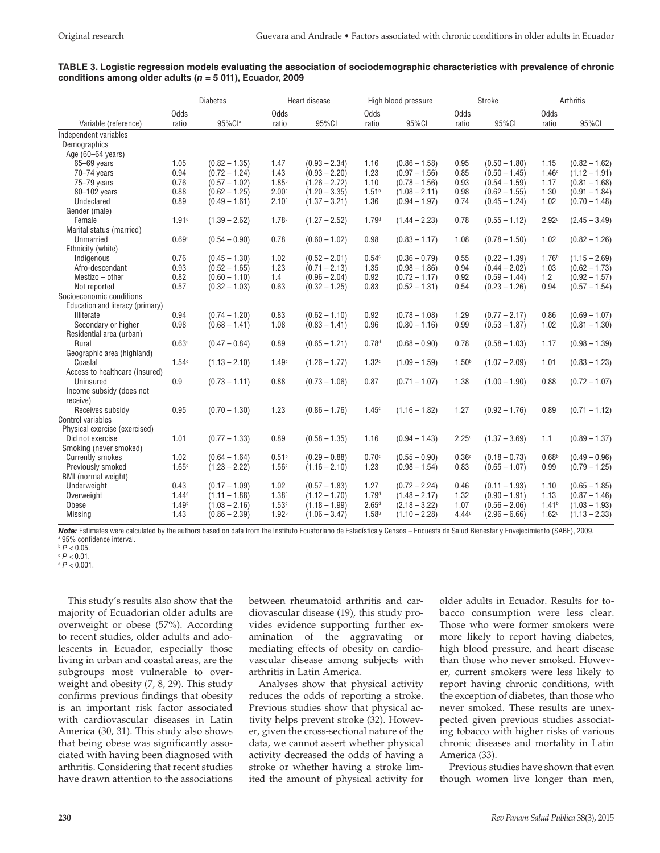## **TABLE 3. Logistic regression models evaluating the association of sociodemographic characteristics with prevalence of chronic conditions among older adults (***n* **= 5 011), Ecuador, 2009**

|                                  | <b>Diabetes</b>   |                 | Heart disease     |                 | High blood pressure       |                 | Stroke            |                 | <b>Arthritis</b>  |                 |
|----------------------------------|-------------------|-----------------|-------------------|-----------------|---------------------------|-----------------|-------------------|-----------------|-------------------|-----------------|
|                                  | Odds              |                 | Odds              |                 | Odds                      |                 | Odds              |                 | Odds              |                 |
| Variable (reference)             | ratio             | 95%Cla          | ratio             | 95%CI           | ratio                     | 95%CI           | ratio             | 95%CI           | ratio             | 95%CI           |
| Independent variables            |                   |                 |                   |                 |                           |                 |                   |                 |                   |                 |
| Demographics                     |                   |                 |                   |                 |                           |                 |                   |                 |                   |                 |
| Age (60-64 years)                |                   |                 |                   |                 |                           |                 |                   |                 |                   |                 |
| 65-69 years                      | 1.05              | $(0.82 - 1.35)$ | 1.47              | $(0.93 - 2.34)$ | 1.16                      | $(0.86 - 1.58)$ | 0.95              | $(0.50 - 1.80)$ | 1.15              | $(0.82 - 1.62)$ |
| 70-74 years                      | 0.94              | $(0.72 - 1.24)$ | 1.43              | $(0.93 - 2.20)$ | 1.23                      | $(0.97 - 1.56)$ | 0.85              | $(0.50 - 1.45)$ | 1.46c             | $(1.12 - 1.91)$ |
| 75-79 years                      | 0.76              | $(0.57 - 1.02)$ | $1.85^{b}$        | $(1.26 - 2.72)$ | 1.10                      | $(0.78 - 1.56)$ | 0.93              | $(0.54 - 1.59)$ | 1.17              | $(0.81 - 1.68)$ |
| 80-102 years                     | 0.88              | $(0.62 - 1.25)$ | 2.00 <sup>c</sup> | $(1.20 - 3.35)$ | 1.51 <sup>b</sup>         | $(1.08 - 2.11)$ | 0.98              | $(0.62 - 1.55)$ | 1.30              | $(0.91 - 1.84)$ |
| Undeclared                       | 0.89              | $(0.49 - 1.61)$ | 2.10 <sup>d</sup> | $(1.37 - 3.21)$ | 1.36                      | $(0.94 - 1.97)$ | 0.74              | $(0.45 - 1.24)$ | 1.02              | $(0.70 - 1.48)$ |
| Gender (male)                    |                   |                 |                   |                 |                           |                 |                   |                 |                   |                 |
| Female                           | 1.91 <sup>d</sup> | $(1.39 - 2.62)$ | 1.78c             | $(1.27 - 2.52)$ | 1.79 <sup>d</sup>         | $(1.44 - 2.23)$ | 0.78              | $(0.55 - 1.12)$ | 2.92 <sup>d</sup> | $(2.45 - 3.49)$ |
| Marital status (married)         |                   |                 |                   |                 |                           |                 |                   |                 |                   |                 |
| Unmarried                        | 0.69c             | $(0.54 - 0.90)$ | 0.78              | $(0.60 - 1.02)$ | 0.98                      | $(0.83 - 1.17)$ | 1.08              | $(0.78 - 1.50)$ | 1.02              | $(0.82 - 1.26)$ |
| Ethnicity (white)                |                   |                 |                   |                 |                           |                 |                   |                 |                   |                 |
| Indigenous                       | 0.76              | $(0.45 - 1.30)$ | 1.02              | $(0.52 - 2.01)$ | 0.54c                     | $(0.36 - 0.79)$ | 0.55              | $(0.22 - 1.39)$ | 1.76 <sup>b</sup> | $(1.15 - 2.69)$ |
| Afro-descendant                  | 0.93              | $(0.52 - 1.65)$ | 1.23              | $(0.71 - 2.13)$ | 1.35                      | $(0.98 - 1.86)$ | 0.94              | $(0.44 - 2.02)$ | 1.03              | $(0.62 - 1.73)$ |
| Mestizo - other                  | 0.82              | $(0.60 - 1.10)$ | 1.4               | $(0.96 - 2.04)$ | 0.92                      | $(0.72 - 1.17)$ | 0.92              | $(0.59 - 1.44)$ | 1.2               | $(0.92 - 1.57)$ |
| Not reported                     | 0.57              | $(0.32 - 1.03)$ | 0.63              | $(0.32 - 1.25)$ | 0.83                      | $(0.52 - 1.31)$ | 0.54              | $(0.23 - 1.26)$ | 0.94              | $(0.57 - 1.54)$ |
| Socioeconomic conditions         |                   |                 |                   |                 |                           |                 |                   |                 |                   |                 |
| Education and literacy (primary) |                   |                 |                   |                 |                           |                 |                   |                 |                   |                 |
| Illiterate                       | 0.94              | $(0.74 - 1.20)$ | 0.83              | $(0.62 - 1.10)$ | 0.92                      | $(0.78 - 1.08)$ | 1.29              | $(0.77 - 2.17)$ | 0.86              | $(0.69 - 1.07)$ |
| Secondary or higher              | 0.98              | $(0.68 - 1.41)$ | 1.08              | $(0.83 - 1.41)$ | 0.96                      | $(0.80 - 1.16)$ | 0.99              | $(0.53 - 1.87)$ | 1.02              | $(0.81 - 1.30)$ |
| Residential area (urban)         |                   |                 |                   |                 |                           |                 |                   |                 |                   |                 |
| Rural                            | 0.63c             | $(0.47 - 0.84)$ | 0.89              | $(0.65 - 1.21)$ | 0.78 <sup>d</sup>         | $(0.68 - 0.90)$ | 0.78              | $(0.58 - 1.03)$ | 1.17              | $(0.98 - 1.39)$ |
| Geographic area (highland)       |                   |                 |                   |                 |                           |                 |                   |                 |                   |                 |
| Coastal                          | 1.54c             | $(1.13 - 2.10)$ | 1.49 <sup>d</sup> | $(1.26 - 1.77)$ | 1.32c                     | $(1.09 - 1.59)$ | 1.50 <sup>b</sup> | $(1.07 - 2.09)$ | 1.01              | $(0.83 - 1.23)$ |
| Access to healthcare (insured)   |                   |                 |                   |                 |                           |                 |                   |                 |                   |                 |
| Uninsured                        | 0.9               | $(0.73 - 1.11)$ | 0.88              | $(0.73 - 1.06)$ | 0.87                      | $(0.71 - 1.07)$ | 1.38              | $(1.00 - 1.90)$ | 0.88              | $(0.72 - 1.07)$ |
| Income subsidy (does not         |                   |                 |                   |                 |                           |                 |                   |                 |                   |                 |
| receive)                         |                   |                 |                   |                 |                           |                 |                   |                 |                   |                 |
| Receives subsidy                 | 0.95              | $(0.70 - 1.30)$ | 1.23              | $(0.86 - 1.76)$ | 1.45c                     | $(1.16 - 1.82)$ | 1.27              | $(0.92 - 1.76)$ | 0.89              | $(0.71 - 1.12)$ |
| Control variables                |                   |                 |                   |                 |                           |                 |                   |                 |                   |                 |
| Physical exercise (exercised)    |                   |                 |                   |                 |                           |                 |                   |                 |                   |                 |
| Did not exercise                 | 1.01              | $(0.77 - 1.33)$ | 0.89              | $(0.58 - 1.35)$ | 1.16                      | $(0.94 - 1.43)$ | 2.25c             | $(1.37 - 3.69)$ | 1.1               | $(0.89 - 1.37)$ |
| Smoking (never smoked)           |                   |                 |                   |                 |                           |                 |                   |                 |                   |                 |
| <b>Currently smokes</b>          | 1.02              | $(0.64 - 1.64)$ | 0.51 <sup>b</sup> | $(0.29 - 0.88)$ | 0.70 <sup>c</sup>         | $(0.55 - 0.90)$ | 0.36 <sup>c</sup> | $(0.18 - 0.73)$ | 0.68 <sup>b</sup> | $(0.49 - 0.96)$ |
| Previously smoked                | 1.65c             | $(1.23 - 2.22)$ | 1.56 <sup>c</sup> | $(1.16 - 2.10)$ | 1.23                      | $(0.98 - 1.54)$ | 0.83              | $(0.65 - 1.07)$ | 0.99              | $(0.79 - 1.25)$ |
| BMI (normal weight)              |                   |                 |                   |                 |                           |                 |                   |                 |                   |                 |
|                                  |                   |                 |                   |                 |                           |                 |                   |                 |                   |                 |
| Underweight                      | 0.43              | $(0.17 - 1.09)$ | 1.02              | $(0.57 - 1.83)$ | 1.27<br>1.79 <sup>d</sup> | $(0.72 - 2.24)$ | 0.46              | $(0.11 - 1.93)$ | 1.10              | $(0.65 - 1.85)$ |
| Overweight                       | 1.44c             | $(1.11 - 1.88)$ | 1.38c             | $(1.12 - 1.70)$ |                           | $(1.48 - 2.17)$ | 1.32              | $(0.90 - 1.91)$ | 1.13              | $(0.87 - 1.46)$ |
| Obese                            | 1.49 <sup>b</sup> | $(1.03 - 2.16)$ | 1.53c             | $(1.18 - 1.99)$ | 2.65 <sup>d</sup>         | $(2.18 - 3.22)$ | 1.07              | $(0.56 - 2.06)$ | 1.41 <sup>b</sup> | $(1.03 - 1.93)$ |
| <b>Missing</b>                   | 1.43              | $(0.86 - 2.39)$ | 1.92 <sup>b</sup> | $(1.06 - 3.47)$ | 1.58 <sup>b</sup>         | $(1.10 - 2.28)$ | 4.44 <sup>d</sup> | $(2.96 - 6.66)$ | 1.62c             | $(1.13 - 2.33)$ |

*Note:* Estimates were calculated by the authors based on data from the Instituto Ecuatoriano de Estadística y Censos – Encuesta de Salud Bienestar y Envejecimiento (SABE), 2009. a 95% confidence interval.

 $P < 0.01$ .

 $d P < 0.001$ .

This study's results also show that the majority of Ecuadorian older adults are overweight or obese (57%). According to recent studies, older adults and adolescents in Ecuador, especially those living in urban and coastal areas, are the subgroups most vulnerable to overweight and obesity (7, 8, 29). This study confirms previous findings that obesity is an important risk factor associated with cardiovascular diseases in Latin America (30, 31). This study also shows that being obese was significantly associated with having been diagnosed with arthritis. Considering that recent studies have drawn attention to the associations

between rheumatoid arthritis and cardiovascular disease (19), this study provides evidence supporting further examination of the aggravating or mediating effects of obesity on cardiovascular disease among subjects with arthritis in Latin America.

Analyses show that physical activity reduces the odds of reporting a stroke. Previous studies show that physical activity helps prevent stroke (32). However, given the cross-sectional nature of the data, we cannot assert whether physical activity decreased the odds of having a stroke or whether having a stroke limited the amount of physical activity for older adults in Ecuador. Results for tobacco consumption were less clear. Those who were former smokers were more likely to report having diabetes, high blood pressure, and heart disease than those who never smoked. However, current smokers were less likely to report having chronic conditions, with the exception of diabetes, than those who never smoked. These results are unexpected given previous studies associating tobacco with higher risks of various chronic diseases and mortality in Latin America (33).

Previous studies have shown that even though women live longer than men,

 $b$   $P < 0.05$ .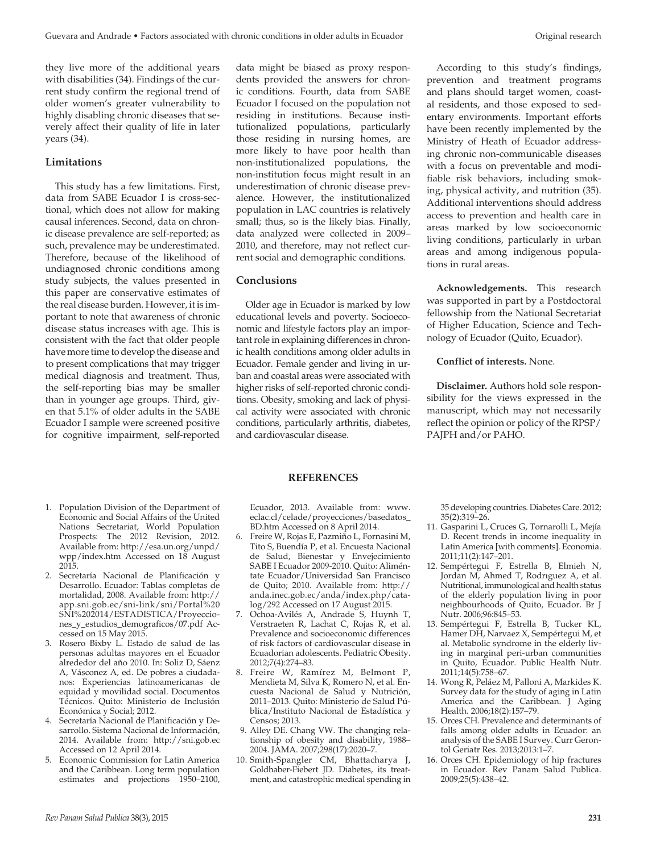they live more of the additional years with disabilities (34). Findings of the current study confirm the regional trend of older women's greater vulnerability to highly disabling chronic diseases that severely affect their quality of life in later years (34).

# **Limitations**

This study has a few limitations. First, data from SABE Ecuador I is cross-sectional, which does not allow for making causal inferences. Second, data on chronic disease prevalence are self-reported; as such, prevalence may be underestimated. Therefore, because of the likelihood of undiagnosed chronic conditions among study subjects, the values presented in this paper are conservative estimates of the real disease burden. However, it is important to note that awareness of chronic disease status increases with age. This is consistent with the fact that older people have more time to develop the disease and to present complications that may trigger medical diagnosis and treatment. Thus, the self-reporting bias may be smaller than in younger age groups. Third, given that 5.1% of older adults in the SABE Ecuador I sample were screened positive for cognitive impairment, self-reported

- 1. Population Division of the Department of Economic and Social Affairs of the United Nations Secretariat, World Population Prospects: The 2012 Revision, 2012. Available from: [http://esa.un.org/unpd/](http://esa.un.org/unpd/wpp/index.htm) [wpp/index.htm](http://esa.un.org/unpd/wpp/index.htm) Accessed on 18 August 2015.
- 2. Secretaría Nacional de Planificación y Desarrollo. Ecuador: Tablas completas de mortalidad, 2008. Available from: [http://](http://app.sni.gob.ec/sni-link/sni/Portal%20SNI%202014/ESTADISTICA/Proyecciones_y_estudios_demograficos/07.pdf) [app.sni.gob.ec/sni-link/sni/Portal%20](http://app.sni.gob.ec/sni-link/sni/Portal%20SNI%202014/ESTADISTICA/Proyecciones_y_estudios_demograficos/07.pdf) [SNI%202014/ESTADISTICA/Proyeccio](http://app.sni.gob.ec/sni-link/sni/Portal%20SNI%202014/ESTADISTICA/Proyecciones_y_estudios_demograficos/07.pdf)[nes\\_y\\_estudios\\_demograficos/07.pdf](http://app.sni.gob.ec/sni-link/sni/Portal%20SNI%202014/ESTADISTICA/Proyecciones_y_estudios_demograficos/07.pdf) Accessed on 15 May 2015.
- 3. Rosero Bixby L. Estado de salud de las personas adultas mayores en el Ecuador alrededor del año 2010. In: Soliz D, Sáenz A, Vásconez A, ed. De pobres a ciudadanos: Experiencias latinoamericanas de equidad y movilidad social. Documentos Técnicos. Quito: Ministerio de Inclusión Económica y Social; 2012.
- 4. Secretaría Nacional de Planificación y Desarrollo. Sistema Nacional de Información, 2014. Available from: <http://sni.gob.ec> Accessed on 12 April 2014.
- 5. Economic Commission for Latin America and the Caribbean. Long term population estimates and projections 1950–2100,

data might be biased as proxy respondents provided the answers for chronic conditions. Fourth, data from SABE Ecuador I focused on the population not residing in institutions. Because institutionalized populations, particularly those residing in nursing homes, are more likely to have poor health than non-institutionalized populations, the non-institution focus might result in an underestimation of chronic disease prevalence. However, the institutionalized population in LAC countries is relatively small; thus, so is the likely bias. Finally, data analyzed were collected in 2009– 2010, and therefore, may not reflect current social and demographic conditions.

## **Conclusions**

Older age in Ecuador is marked by low educational levels and poverty. Socioeconomic and lifestyle factors play an important role in explaining differences in chronic health conditions among older adults in Ecuador. Female gender and living in urban and coastal areas were associated with higher risks of self-reported chronic conditions. Obesity, smoking and lack of physical activity were associated with chronic conditions, particularly arthritis, diabetes, and cardiovascular disease.

According to this study's findings, prevention and treatment programs and plans should target women, coastal residents, and those exposed to sedentary environments. Important efforts have been recently implemented by the Ministry of Heath of Ecuador addressing chronic non-communicable diseases with a focus on preventable and modifiable risk behaviors, including smoking, physical activity, and nutrition (35). Additional interventions should address access to prevention and health care in areas marked by low socioeconomic living conditions, particularly in urban areas and among indigenous populations in rural areas.

**Acknowledgements.** This research was supported in part by a Postdoctoral fellowship from the National Secretariat of Higher Education, Science and Technology of Ecuador (Quito, Ecuador).

# **Conflict of interests.** None.

**Disclaimer.** Authors hold sole responsibility for the views expressed in the manuscript, which may not necessarily reflect the opinion or policy of the RPSP/ PAJPH and/or PAHO.

## **REFERENCES**

Ecuador, 2013. Available from: [www.](http://www.eclac.cl/celade/proyecciones/basedatos_BD.htm) [eclac.cl/celade/proyecciones/basedatos\\_](http://www.eclac.cl/celade/proyecciones/basedatos_BD.htm) [BD.htm](http://www.eclac.cl/celade/proyecciones/basedatos_BD.htm) Accessed on 8 April 2014.

- 6. Freire W, Rojas E, Pazmiño L, Fornasini M, Tito S, Buendía P, et al. Encuesta Nacional de Salud, Bienestar y Envejecimiento SABE I Ecuador 2009-2010. Quito: Aliméntate Ecuador/Universidad San Francisco de Quito; 2010. Available from: [http://](http://anda.inec.gob.ec/anda/index.php/catalog/292) [anda.inec.gob.ec/anda/index.php/cata](http://anda.inec.gob.ec/anda/index.php/catalog/292)[log/292](http://anda.inec.gob.ec/anda/index.php/catalog/292) Accessed on 17 August 2015.
- 7. Ochoa-Avilés A, Andrade S, Huynh T, Verstraeten R, Lachat C, Rojas R, et al. Prevalence and socioeconomic differences of risk factors of cardiovascular disease in Ecuadorian adolescents. Pediatric Obesity. 2012;7(4):274–83.
- 8. Freire W, Ramírez M, Belmont P, Mendieta M, Silva K, Romero N, et al. Encuesta Nacional de Salud y Nutrición, 2011–2013. Quito: Ministerio de Salud Pública/Instituto Nacional de Estadística y Censos; 2013.
- 9. Alley DE. Chang VW. The changing relationship of obesity and disability, 1988– 2004. JAMA. 2007;298(17):2020–7.
- 10. Smith-Spangler CM, Bhattacharya J, Goldhaber-Fiebert JD. Diabetes, its treatment, and catastrophic medical spending in

35 developing countries. Diabetes Care. 2012; 35(2):319–26.

- 11. Gasparini L, Cruces G, Tornarolli L, Mejía D. Recent trends in income inequality in Latin America [with comments]. Economia. 2011;11(2):147–201.
- 12. Sempértegui F, Estrella B, Elmieh N, Jordan M, Ahmed T, Rodrıguez A, et al. Nutritional, immunological and health status of the elderly population living in poor neighbourhoods of Quito, Ecuador. Br J Nutr. 2006;96:845–53.
- 13. Sempértegui F, Estrella B, Tucker KL, Hamer DH, Narvaez X, Sempértegui M, et al. Metabolic syndrome in the elderly living in marginal peri-urban communities in Quito, Ecuador. Public Health Nutr. 2011;14(5):758–67.
- 14. Wong R, Peláez M, Palloni A, Markides K. Survey data for the study of aging in Latin America and the Caribbean. J Aging Health. 2006;18(2):157–79.
- 15. Orces CH. Prevalence and determinants of falls among older adults in Ecuador: an analysis of the SABE I Survey. Curr Gerontol Geriatr Res. 2013;2013:1–7.
- 16. Orces CH. Epidemiology of hip fractures in Ecuador. Rev Panam Salud Publica. 2009;25(5):438–42.